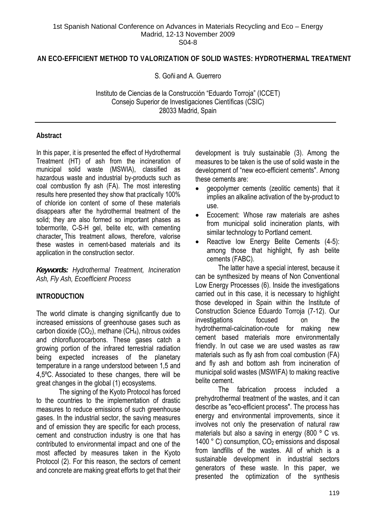### **AN ECO-EFFICIENT METHOD TO VALORIZATION OF SOLID WASTES: HYDROTHERMAL TREATMENT**

S. Goñi and A. Guerrero

Instituto de Ciencias de la Construcción "Eduardo Torroja" (ICCET) Consejo Superior de Investigaciones Científicas (CSIC) 28033 Madrid, Spain

## **Abstract**

In this paper, it is presented the effect of Hydrothermal Treatment (HT) of ash from the incineration of municipal solid waste (MSWIA), classified as hazardous waste and industrial by-products such as coal combustion fly ash (FA). The most interesting results here presented they show that practically 100% of chloride ion content of some of these materials disappears after the hydrothermal treatment of the solid; they are also formed so important phases as tobermorite, C-S-H gel, belite etc, with cementing character. This treatment allows, therefore, valorise these wastes in cement-based materials and its application in the construction sector.

*Keywords: Hydrothermal Treatment, Incineration Ash, Fly Ash, Ecoefficient Process* 

### **INTRODUCTION**

The world climate is changing significantly due to increased emissions of greenhouse gases such as carbon dioxide  $(CO_2)$ , methane  $(CH_4)$ , nitrous oxides and chlorofluorocarbons. These gases catch a growing portion of the infrared terrestrial radiation being expected increases of the planetary temperature in a range understood between 1,5 and 4,5ºC. Associated to these changes, there will be great changes in the global (1) ecosystems.

 The signing of the Kyoto Protocol has forced to the countries to the implementation of drastic measures to reduce emissions of such greenhouse gases. In the industrial sector, the saving measures and of emission they are specific for each process, cement and construction industry is one that has contributed to environmental impact and one of the most affected by measures taken in the Kyoto Protocol (2). For this reason, the sectors of cement and concrete are making great efforts to get that their development is truly sustainable (3). Among the measures to be taken is the use of solid waste in the development of "new eco-efficient cements". Among these cements are:

- geopolymer cements (zeolitic cements) that it implies an alkaline activation of the by-product to use.
- Ecocement: Whose raw materials are ashes from municipal solid incineration plants, with similar technology to Portland cement.
- Reactive low Energy Belite Cements (4-5): among those that highlight, fly ash belite cements (FABC).

 The latter have a special interest, because it can be synthesized by means of Non Conventional Low Energy Processes (6). Inside the investigations carried out in this case, it is necessary to highlight those developed in Spain within the Institute of Construction Science Eduardo Torroja (7-12). Our investigations focused on the hydrothermal-calcination-route for making new cement based materials more environmentally friendly. In out case we are used wastes as raw materials such as fly ash from coal combustion (FA) and fly ash and bottom ash from incineration of municipal solid wastes (MSWIFA) to making reactive belite cement.

 The fabrication process included a prehydrothermal treatment of the wastes, and it can describe as "eco-efficient process". The process has energy and environmental improvements, since it involves not only the preservation of natural raw materials but also a saving in energy (800 ° C vs. 1400  $^{\circ}$  C) consumption,  $CO<sub>2</sub>$  emissions and disposal from landfills of the wastes. All of which is a sustainable development in industrial sectors generators of these waste. In this paper, we presented the optimization of the synthesis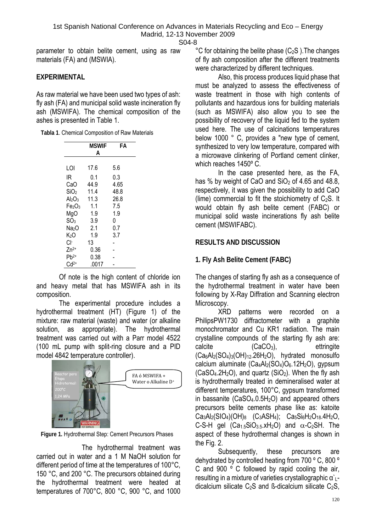parameter to obtain belite cement, using as raw materials (FA) and (MSWIA).

## **EXPERIMENTAL**

As raw material we have been used two types of ash: fly ash (FA) and municipal solid waste incineration fly ash (MSWIFA). The chemical composition of the ashes is presented in Table 1.

|                   | MSWIF<br>А | FА   |  |  |
|-------------------|------------|------|--|--|
| LOI               | 17.6       | 5.6  |  |  |
| ΙR                | 0.1        | 0.3  |  |  |
| CaO               | 44.9       | 4.65 |  |  |
| SiO <sub>2</sub>  | 11.4       | 48.8 |  |  |
| $Al_2O_3$         | 11.3       | 26.8 |  |  |
| Fe2O3             | 1.1        | 7.5  |  |  |
| MgO               | 1.9        | 1.9  |  |  |
| SO <sub>3</sub>   | 3.9        | 0    |  |  |
| Na <sub>2</sub> O | 2.1        | 0.7  |  |  |
| K›O               | 1.9        | 3.7  |  |  |
| Cŀ                | 13         |      |  |  |
| $Zn^{2+}$         | 0.36       |      |  |  |
| $Pb^{2+}$         | 0.38       |      |  |  |
| $Cd2+$            | .0017      |      |  |  |

 Of note is the high content of chloride ion and heavy metal that has MSWIFA ash in its composition.

 The experimental procedure includes a hydrothermal treatment (HT) (Figure 1) of the mixture: raw material (waste) and water (or alkaline solution, as appropriate). The hydrothermal treatment was carried out with a Parr model 4522 (100 mL pump with split-ring closure and a PID model 4842 temperature controller).



**Figure 1.** Hydrothermal Step: Cement Precursors Phases

 The hydrothermal treatment was carried out in water and a 1 M NaOH solution for different period of time at the temperatures of 100°C, 150 °C, and 200 °C. The precursors obtained during the hydrothermal treatment were heated at temperatures of 700°C, 800 °C, 900 °C, and 1000  $^{\circ}$ C for obtaining the belite phase (C<sub>2</sub>S). The changes of fly ash composition after the different treatments were characterized by different techniques.

 Also, this process produces liquid phase that must be analyzed to assess the effectiveness of waste treatment in those with high contents of pollutants and hazardous ions for building materials (such as MSWIFA) also allow you to see the possibility of recovery of the liquid fed to the system used here. The use of calcinations temperatures below 1000 ° C, provides a "new type of cement, synthesized to very low temperature, compared with a microwave clinkering of Portland cement clinker, which reaches 1450º C.

 In the case presented here, as the FA, has % by weight of CaO and  $SiO<sub>2</sub>$  of 4.65 and 48.8, respectively, it was given the possibility to add CaO (lime) commercial to fit the stoichiometry of  $C<sub>2</sub>S$ . It would obtain fly ash belite cement (FABC) or municipal solid waste incinerations fly ash belite cement (MSWIFABC).

# **RESULTS AND DISCUSSION**

# **1. Fly Ash Belite Cement (FABC)**

The changes of starting fly ash as a consequence of the hydrothermal treatment in water have been following by X-Ray Diffration and Scanning electron Microscopy.

 XRD patterns were recorded on a PhilipsPW1730 diffractometer with a graphite monochromator and Cu KR1 radiation. The main crystalline compounds of the starting fly ash are: calcite (CaCO<sub>3</sub>), ettringite  $(Ca_6Al_2(SO_4)_3(OH)_{12}.26H_2O)$ , hydrated monosulfo calcium aluminate  $(Ca_4A_2(SO_4)O_6.12H_2O)$ , gypsum  $(CaSO<sub>4</sub>.2H<sub>2</sub>O)$ , and quartz  $(SiO<sub>2</sub>)$ . When the fly ash is hydrothermally treated in demineralised water at different temperatures, 100°C, gypsum transformed in bassanite  $(CaSO<sub>4</sub>.0.5H<sub>2</sub>O)$  and appeared others precursors belite cements phase like as: katoite  $Ca_3Al_2(SIO_4)(OH)_8$  (C<sub>3</sub>ASH<sub>4</sub>);  $Ca_5Si_6H_2O_{18}.4H_2O$ , C-S-H gel  $(Ca_{1.5}SiO_{3.5}.xH_2O)$  and  $\alpha$ -C<sub>2</sub>SH. The aspect of these hydrothermal changes is shown in the Fig. 2.

 Subsequently, these precursors are dehydrated by controlled heating from 700 º C, 800 º C and 900 º C followed by rapid cooling the air, resulting in a mixture of varieties crystallographic α`<sub>1</sub>dicalcium silicate  $C_2S$  and  $\beta$ -dicalcium silicate  $C_2S$ ,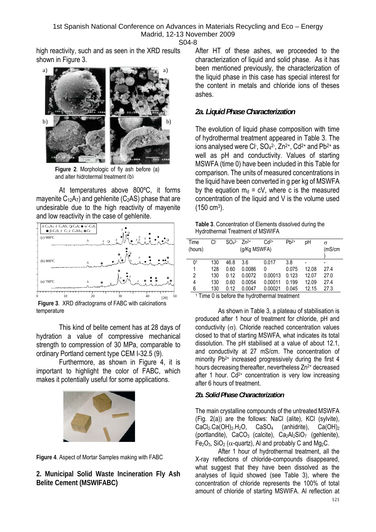high reactivity, such and as seen in the XRD results shown in Figure 3.



**Figure 2**. Morphologic of fly ash before (a) and alter hidrotermal treatment (b)

 At temperatures above 800ºC, it forms mayenite  $C_{12}A_{7}$ ) and gehlenite (C<sub>2</sub>AS) phase that are undesirable due to the high reactivity of mayenite and low reactivity in the case of gehlenite.



**Figure 3**. XRD difractograms of FABC with calcinations temperature

 This kind of belite cement has at 28 days of hydration a value of compressive mechanical strength to compression of 30 MPa, comparable to ordinary Portland cement type CEM I-32.5 (9).

 Furthermore, as shown in Figure 4, it is important to highlight the color of FABC, which makes it potentially useful for some applications.





**2. Municipal Solid Waste Incineration Fly Ash Belite Cement (MSWIFABC)** 

After HT of these ashes, we proceeded to the characterization of liquid and solid phase. As it has been mentioned previously, the characterization of the liquid phase in this case has special interest for the content in metals and chloride ions of theses ashes.

## *2a. Liquid Phase Characterization*

The evolution of liquid phase composition with time of hydrothermal treatment appeared in Table 3. The ions analysed were Cl<sup>-</sup>,  $SO<sub>4</sub><sup>2</sup>$ -,  $Zn<sup>2+</sup>$ ,  $Cd<sup>2+</sup>$  and  $Pb<sup>2+</sup>$  as well as pH and conductivity. Values of starting MSWFA (time 0) have been included in this Table for comparison. The units of measured concentrations in the liquid have been converted in g per kg of MSWFA by the equation  $m_d = cV$ , where c is the measured concentration of the liquid and V is the volume used (150 cm3).

| Table 3. Concentration of Elements dissolved during the |  |
|---------------------------------------------------------|--|
| Hydrothermal Treatment of MSWIFA                        |  |

| Time<br>(hours) | Cŀ  | SO <sub>4</sub> <sup>2</sup> | $7n^{2+}$<br>(g/Kg MSWFA) | $Cd2+$  | $Pb^{2+}$ | pН    | σ<br>(mS/cm) |
|-----------------|-----|------------------------------|---------------------------|---------|-----------|-------|--------------|
| 0 <sup>1</sup>  | 130 | 46.8                         | 3.6                       | 0.017   | 3.8       |       |              |
| 1               | 128 | 0.60                         | 0.0086                    | 0       | 0.075     | 12.08 | 27.4         |
| 2               | 130 | 0.12                         | 0.0072                    | 0.00013 | 0.123     | 12.07 | 27.0         |
| 4               | 130 | 0.60                         | 0.0054                    | 0.00011 | 0.199     | 12.09 | 27.4         |
| 6               | 130 | 0.12                         | 0.0047                    | 0.00021 | 0.045     | 12.15 | 27.3         |
|                 |     |                              |                           |         |           |       |              |

<sup>1</sup> Time 0 is before the hydrothermal treatment

As shown in Table 3, a plateau of stabilisation is produced after 1 hour of treatment for chloride, pH and conductivity  $(\sigma)$ . Chloride reached concentration values closed to that of starting MSWFA, what indicates its total dissolution. The pH stabilised at a value of about 12.1, and conductivity at 27 mS/cm. The concentration of minority Pb<sup>2+</sup> increased progressively during the first 4 hours decreasing thereafter, nevertheless Zn<sup>2+</sup> decreased after 1 hour.  $Cd^{2+}$  concentration is very low increasing after 6 hours of treatment.

### *2b. Solid Phase Characterization*

The main crystalline compounds of the untreated MSWFA (Fig. 2(a)) are the follows: NaCl (alite), KCl (sylvite),  $CaCl<sub>2</sub>.Ca(OH)<sub>2</sub>.H<sub>2</sub>O$ ,  $CaSO<sub>4</sub>$  (anhidrite),  $Ca(OH)<sub>2</sub>$ (portlandite),  $CaCO<sub>3</sub>$  (calcite),  $Ca<sub>2</sub>Al<sub>2</sub>SiO<sub>7</sub>$  (gehlenite), Fe<sub>2</sub>O<sub>3</sub>, SiO<sub>2</sub> ( $\alpha$ -quartz), Al and probably C and Mq<sub>2</sub>C.

 After 1 hour of hydrothermal treatment, all the X-ray reflections of chloride-compounds disappeared, what suggest that they have been dissolved as the analyses of liquid showed (see Table 3), where the concentration of chloride represents the 100% of total amount of chloride of starting MSWIFA. Al reflection at